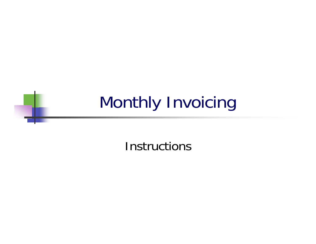## Monthly Invoicing

**Instructions**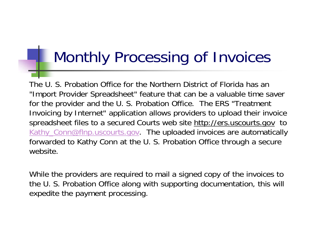### Monthly Processing of Invoices

The U. S. Probation Office for the Northern District of Florida has an "Import Provider Spreadsheet" feature that can be a valuable time saver for the provider and the U. S. Probation Office. The ERS "Treatment Invoicing by Internet" application allows providers to upload their invoice spreadsheet files to a secured Courts web site http://ers.uscourts.gov to Kathy Conn@flnp.uscourts.gov. The uploaded invoices are automatically forwarded to Kathy Conn at the U. S. Probation Office through a secure website.

While the providers are required to mail a signed copy of the invoices to the U. S. Probation Office along with supporting documentation, this will expedite the payment processing.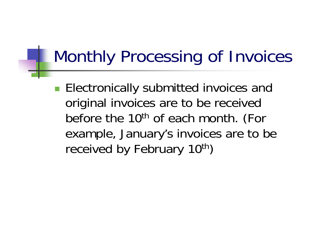## Monthly Processing of Invoices

**Electronically submitted invoices and** original invoices are to be received before the 10<sup>th</sup> of each month. (For example, January's invoices are to be received by February 10<sup>th</sup>)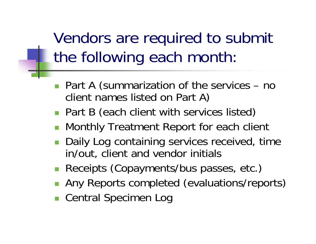Vendors are required to submit the following each month:

- Part A (summarization of the services no client names listed on Part A)
- **Part B (each client with services listed)**
- F. Monthly Treatment Report for each client
- **Daily Log containing services received, time** in/out, client and vendor initials
- **Receipts (Copayments/bus passes, etc.)**
- **Any Reports completed (evaluations/reports)**
- Central Specimen Log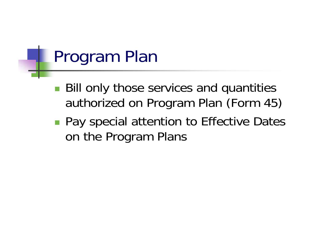## Program Plan

- Bill only those services and quantities authorized on Program Plan (Form 45)
- **Pay special attention to Effective Dates** on the Program Plans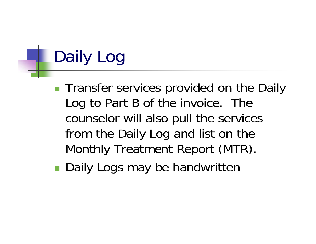# Daily Log

- **Transfer services provided on the Daily** Log to Part B of the invoice. The counselor will also pull the services from the Daily Log and list on the Monthly Treatment Report (MTR).
- p. ■ Daily Logs may be handwritten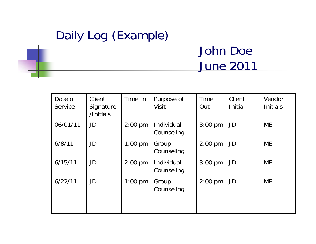## Daily Log (Example)

#### John Doe June 2011

| Date of<br>Service | Client<br>Signature<br>/Initials | Time In   | Purpose of<br><b>Visit</b> | <b>Time</b><br>Out | Client<br><b>Initial</b> | Vendor<br><b>Initials</b> |
|--------------------|----------------------------------|-----------|----------------------------|--------------------|--------------------------|---------------------------|
| 06/01/11           | JD                               | $2:00$ pm | Individual<br>Counseling   | $3:00$ pm          | JD                       | <b>ME</b>                 |
| 6/8/11             | JD                               | $1:00$ pm | Group<br>Counseling        | $2:00$ pm          | JD                       | <b>ME</b>                 |
| 6/15/11            | JD                               | $2:00$ pm | Individual<br>Counseling   | $3:00$ pm          | JD                       | <b>ME</b>                 |
| 6/22/11            | JD                               | $1:00$ pm | Group<br>Counseling        | $2:00$ pm          | JD                       | <b>ME</b>                 |
|                    |                                  |           |                            |                    |                          |                           |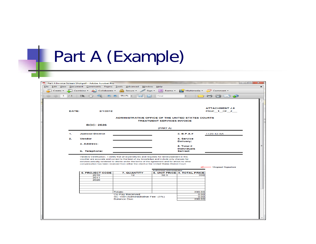# Part A (Example)

|               | 1 / 1 | Combine + 20 Collaborate +<br>$\mathbf{I}$ $\mathbb{R}$ $\mathbb{C}^{\text{th}}$ | re de la<br>Secure -<br>$\bullet$ 95.1% -                                                                                                                                                  | $\equiv$ Forms $\sim$<br>Sign -<br>Find | Multimedia -                         | Comment -                 |  |
|---------------|-------|----------------------------------------------------------------------------------|--------------------------------------------------------------------------------------------------------------------------------------------------------------------------------------------|-----------------------------------------|--------------------------------------|---------------------------|--|
| $\rightarrow$ |       |                                                                                  | स्त्र                                                                                                                                                                                      | 圈                                       |                                      | HE A                      |  |
|               |       |                                                                                  |                                                                                                                                                                                            |                                         |                                      |                           |  |
|               |       |                                                                                  |                                                                                                                                                                                            |                                         |                                      | <b>ATTACHMENT J.8</b>     |  |
|               | DATE: | 2/1/2012                                                                         |                                                                                                                                                                                            |                                         |                                      | PAGE 1 OF 2               |  |
|               |       |                                                                                  | ADMINISTRATIVE OFFICE OF THE UNITED STATES COURTS                                                                                                                                          | <b>TREATMENT SERVICES INVOICE</b>       |                                      |                           |  |
|               |       | <b>BOC: 2526</b>                                                                 |                                                                                                                                                                                            |                                         |                                      |                           |  |
|               |       |                                                                                  |                                                                                                                                                                                            | (PART A)                                |                                      |                           |  |
|               | 1.    | <b>Judicial District</b>                                                         |                                                                                                                                                                                            |                                         | 3. B.P.A.#                           | 1129-12-SA                |  |
|               | 2.    | <b>Vendor</b>                                                                    |                                                                                                                                                                                            |                                         | 4. Service                           |                           |  |
|               |       | a. Address:                                                                      |                                                                                                                                                                                            |                                         | <b>Delivery:</b>                     |                           |  |
|               |       |                                                                                  |                                                                                                                                                                                            |                                         | $5.$ Total $#$<br><b>Individuals</b> |                           |  |
|               |       |                                                                                  |                                                                                                                                                                                            |                                         |                                      |                           |  |
|               |       | b. Telephone:                                                                    |                                                                                                                                                                                            |                                         | Served:                              |                           |  |
|               |       |                                                                                  | Vendors Certification: I certify that all expenditures and requests for reimbursement in this                                                                                              |                                         |                                      |                           |  |
|               |       |                                                                                  | voucher are accurate and correct to the best of my knowledge and include only charges for<br>services actually rendered to clients under the terms of the agreement and for which no other |                                         |                                      |                           |  |
|               |       |                                                                                  | compensation has been received from either the client or the United States District Court.                                                                                                 |                                         |                                      |                           |  |
|               |       |                                                                                  |                                                                                                                                                                                            | <b>Authorized Administrator</b>         |                                      | <b>Original Signature</b> |  |
|               |       | <b>6. PROJECT CODE</b>                                                           | 7. QUANTITY                                                                                                                                                                                |                                         | 8. UNIT PRICE 9. TOTAL PRICE         |                           |  |
|               |       | 2010                                                                             | 12                                                                                                                                                                                         | 32.5                                    | 390                                  |                           |  |
|               |       | 2011                                                                             |                                                                                                                                                                                            |                                         |                                      |                           |  |
|               |       | 2020                                                                             |                                                                                                                                                                                            |                                         |                                      |                           |  |
|               |       |                                                                                  |                                                                                                                                                                                            |                                         |                                      |                           |  |
|               |       |                                                                                  |                                                                                                                                                                                            |                                         |                                      |                           |  |
|               |       |                                                                                  |                                                                                                                                                                                            |                                         |                                      |                           |  |
|               |       |                                                                                  | Totals:                                                                                                                                                                                    |                                         | 390.00                               |                           |  |
|               |       |                                                                                  | Co-Pay Received:<br>SC 1501/Administrative Fee: (5%)                                                                                                                                       |                                         | 0.00<br>0.00                         |                           |  |
|               |       |                                                                                  | <b>Balance Due:</b>                                                                                                                                                                        |                                         | 390.00                               |                           |  |
|               |       |                                                                                  |                                                                                                                                                                                            |                                         |                                      |                           |  |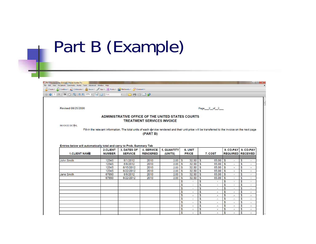## Part B (Example)

a.

| File Edit View Document Comments Forms Tools Advanced Window Help                                          |                |                                                                                                                                                     |                                   |              |                                     |                                |                |                                                    |                               |                  |
|------------------------------------------------------------------------------------------------------------|----------------|-----------------------------------------------------------------------------------------------------------------------------------------------------|-----------------------------------|--------------|-------------------------------------|--------------------------------|----------------|----------------------------------------------------|-------------------------------|------------------|
| Create + Combine + Collaborate + Collaborate + Compare + Comment + Comment + Comment + Comment + Comment + |                |                                                                                                                                                     |                                   |              |                                     |                                |                |                                                    |                               |                  |
| <b>← ↓ 1 /9 11 ↓ ☆ ↓ ↓ ● 9 ● 177% • 日 ☆ Find</b>                                                           |                | $\cdot$ 00000                                                                                                                                       |                                   |              |                                     |                                |                |                                                    |                               |                  |
|                                                                                                            |                |                                                                                                                                                     |                                   |              |                                     |                                |                |                                                    |                               |                  |
|                                                                                                            |                |                                                                                                                                                     |                                   |              |                                     |                                |                |                                                    |                               |                  |
| Revised 08/25/2006                                                                                         |                |                                                                                                                                                     |                                   |              |                                     |                                | Page 2_of 2_   |                                                    |                               |                  |
|                                                                                                            |                | ADMINISTRATIVE OFFICE OF THE UNITED STATES COURTS                                                                                                   |                                   |              |                                     |                                |                |                                                    |                               |                  |
|                                                                                                            |                |                                                                                                                                                     | <b>TREATMENT SERVICES INVOICE</b> |              |                                     |                                |                |                                                    |                               |                  |
| <b>INVOICE DETAIL</b>                                                                                      |                |                                                                                                                                                     |                                   |              |                                     |                                |                |                                                    |                               |                  |
|                                                                                                            |                | Fill-in the relevant information. The total units of each service rendered and their unit price will be transferred to the invoice on the next page |                                   |              |                                     |                                |                |                                                    |                               |                  |
|                                                                                                            |                |                                                                                                                                                     | (PART B)                          |              |                                     |                                |                |                                                    |                               |                  |
|                                                                                                            |                |                                                                                                                                                     |                                   |              |                                     |                                |                |                                                    |                               |                  |
|                                                                                                            |                |                                                                                                                                                     |                                   |              |                                     |                                |                |                                                    |                               |                  |
|                                                                                                            |                |                                                                                                                                                     |                                   |              |                                     |                                |                |                                                    |                               |                  |
|                                                                                                            |                |                                                                                                                                                     |                                   |              |                                     |                                |                |                                                    |                               |                  |
| Entries below will automatically total and carry to Prob. Summary Tab                                      |                |                                                                                                                                                     |                                   |              |                                     |                                |                |                                                    |                               |                  |
|                                                                                                            | 2.CLIENT       | 3. DATES OF                                                                                                                                         | <b>4. SERVICE</b>                 | 5. QUANTITY  | 6. UNIT                             |                                |                | 8. $CO-PAY$ 9. $CO-PAY$                            |                               |                  |
| <b>1.CLIENT NAME</b>                                                                                       | <b>NUMBER</b>  | <b>SERVICE</b>                                                                                                                                      | <b>RENDERED</b>                   | (UNITS)      | <b>PRICE</b>                        |                                | 7. COST        | <b>REQUIRED RECEIVED</b>                           |                               |                  |
|                                                                                                            |                |                                                                                                                                                     |                                   |              |                                     |                                |                |                                                    |                               |                  |
| <b>John Smith</b>                                                                                          | 12345          | 6/1/2012                                                                                                                                            | 2010                              | 2.00         | 32.50<br>\$                         | \$                             | 65.00          | \$<br>$\blacksquare$                               | \$                            | ÷                |
|                                                                                                            | 12345          | 6/8/2012                                                                                                                                            | 2010                              | 2.00         | 32.50<br>\$                         | $\mathbf S$                    | 65.00          | \$<br>$\sim$<br>÷.                                 | \$                            | $\sim$<br>$\sim$ |
|                                                                                                            | 12345<br>12345 | 6/15/2012<br>6/22/2012                                                                                                                              | 2010<br>2010                      | 2.00<br>2.00 | $\mathbb S$<br>32.50<br>32.50<br>\$ | l s<br>$\overline{\mathbf{s}}$ | 65.00<br>65.00 | $\mathfrak s$<br>$\overline{\mathbf{s}}$<br>$\sim$ | \$<br>$\overline{\mathbf{S}}$ | $\sim$           |
| <b>Jane Smith</b>                                                                                          | 67890          | 6/8/2012                                                                                                                                            | 2010                              | 2.00         | 32.50<br>\$                         | $\mathbf{s}$                   | 65.00          | $\mathbf{s}$<br>ä,                                 | $\overline{\mathbb{S}}$       | $\sim$           |
|                                                                                                            | 67890          | 6/22/2012                                                                                                                                           | 2010                              | 2.00         | \$<br>32.50                         | \$                             | 65.00          | \$<br>÷.                                           | \$                            | $\sim$           |
|                                                                                                            |                |                                                                                                                                                     |                                   |              | \$<br>$\blacksquare$                | \$                             | $\sim$         | \$<br>$\sim$                                       | $\overline{\mathbb{S}}$       | $\sim$ .         |
|                                                                                                            |                |                                                                                                                                                     |                                   |              | \$<br>$\sim$                        | \$                             | $\sim$         | \$<br>$\blacksquare$                               | \$                            | $\sim$           |
|                                                                                                            |                |                                                                                                                                                     |                                   |              | \$                                  | \$                             |                | \$<br>٠                                            | \$                            |                  |
|                                                                                                            |                |                                                                                                                                                     |                                   |              | \$<br>$\sim$                        | \$                             | $\sim$         | \$<br>$\sim$                                       | \$                            | $\sim$           |
|                                                                                                            |                |                                                                                                                                                     |                                   |              | \$<br>$\sim$                        | $\overline{\mathbb{S}}$        | ÷.             | \$<br>a.                                           | $\overline{\mathbb{S}}$       | $\sim$           |
|                                                                                                            |                |                                                                                                                                                     |                                   |              | \$                                  | $\overline{\mathbb{S}}$        | $\sim$         | $\overline{\mathbb{S}}$<br>$\sim$                  | $\overline{\mathbf{S}}$       | $\sim$           |
|                                                                                                            |                |                                                                                                                                                     |                                   |              | \$<br>$\mathbf{r}$                  | <b>S</b>                       | $\mathbf{r}$   | \$<br>÷.                                           | $\mathfrak{s}$                | $\sim$           |
|                                                                                                            |                |                                                                                                                                                     |                                   |              | \$<br>$\sim$                        | \$                             | $\sim$         | \$<br>$\mathbf{r}$                                 | \$                            | $\sim$           |
|                                                                                                            |                |                                                                                                                                                     |                                   |              | \$<br>$\sim$<br>\$                  | \$<br>\$                       | $\sim$         | \$<br>$\sim$<br>\$                                 | \$<br>\$                      | $\sim$           |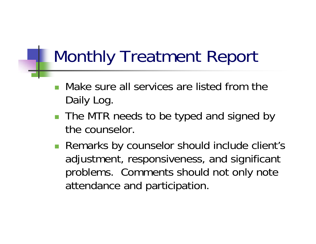## Monthly Treatment Report

- F. Make sure all services are listed from the Daily Log.
- The MTR needs to be typed and signed by the counselor.
- **Remarks by counselor should include client's** adjustment, responsiveness, and significant problems. Comments should not only note attendance and participation.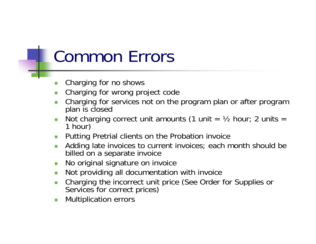## Common Errors

- $\mathcal{L}_{\mathcal{A}}$ Charging for no shows
- Charging for wrong project code
- Charging for services not on the program plan or after program plan is closed
- Not charging correct unit amounts (1 unit =  $\frac{1}{2}$  hour; 2 units = 1 hour)
- Putting Pretrial clients on the Probation invoice
- Adding late invoices to current invoices; each month should be billed on a separate invoice
- T. No original signature on invoice
- Not providing all documentation with invoice
- Charging the incorrect unit price (See Order for Supplies or Services for correct prices)
- Multiplication errors